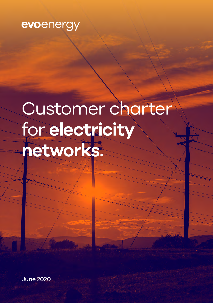

# Customer charter for **electricity networks.**

June 2020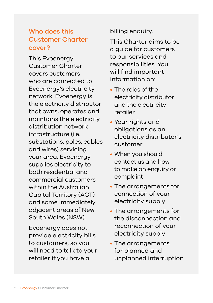# Who does this Customer Charter cover?

This Evoenergy Customer Charter covers customers who are connected to Evoenergy's electricity network. Evoenergy is the electricity distributor that owns, operates and maintains the electricity distribution network infrastructure (i.e. substations, poles, cables and wires) servicing your area. Evoenergy supplies electricity to both residential and commercial customers within the Australian Capital Territory (ACT) and some immediately adjacent areas of New South Wales (NSW).

Evoenergy does not provide electricity bills to customers, so you will need to talk to your retailer if you have a

billing enquiry.

This Charter aims to be a guide for customers to our services and responsibilities. You will find important information on:

- The roles of the electricity distributor and the electricity retailer
- Your rights and obligations as an electricity distributor's customer
- When you should contact us and how to make an enquiry or complaint
- The arrangements for connection of your electricity supply
- The arrangements for the disconnection and reconnection of your electricity supply
- The arrangements for planned and unplanned interruption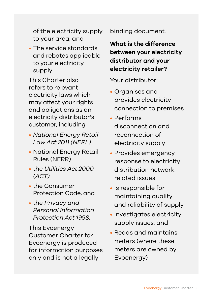of the electricity supply to your area, and

• The service standards and rebates applicable to your electricity supply

This Charter also refers to relevant electricity laws which may affect your rights and obligations as an electricity distributor's customer, including:

- *National Energy Retail Law Act 2011 (NERL)*
- National Energy Retail Rules (NERR)
- the *Utilities Act 2000 (ACT)*
- the Consumer Protection Code, and
- the *Privacy and Personal Information Protection Act 1998*.

This Evoenergy Customer Charter for Evoenergy is produced for information purposes only and is not a legally

binding document.

**What is the difference between your electricity distributor and your electricity retailer?**

Your distributor:

- Organises and provides electricity connection to premises
- Performs disconnection and reconnection of electricity supply
- Provides emergency response to electricity distribution network related issues
- Is responsible for maintaining quality and reliability of supply
- Investigates electricity supply issues, and
- Reads and maintains meters (where these meters are owned by Evoenergy)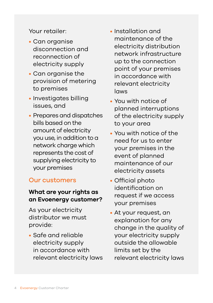Your retailer:

- Can organise disconnection and reconnection of electricity supply
- Can organise the provision of metering to premises
- Investigates billing issues, and
- Prepares and dispatches bills based on the amount of electricity you use, in addition to a network charge which represents the cost of supplying electricity to your premises

#### Our customers

#### **What are your rights as an Evoenergy customer?**

As your electricity distributor we must provide:

• Safe and reliable electricity supply in accordance with relevant electricity laws

- Installation and maintenance of the electricity distribution network infrastructure up to the connection point of your premises in accordance with relevant electricity laws
- You with notice of planned interruptions of the electricity supply to your area
- You with notice of the need for us to enter your premises in the event of planned maintenance of our electricity assets
- Official photo identification on request if we access your premises
- At your request, an explanation for any change in the quality of your electricity supply outside the allowable limits set by the relevant electricity laws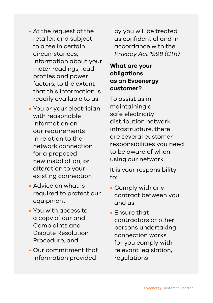- At the request of the retailer, and subject to a fee in certain circumstances, information about your meter readings, load profiles and power factors, to the extent that this information is readily available to us
- You or your electrician with reasonable information on our requirements in relation to the network connection for a proposed new installation, or alteration to your existing connection
- Advice on what is required to protect our equipment
- You with access to a copy of our and Complaints and Dispute Resolution Procedure, and
- Our commitment that information provided

by you will be treated as confidential and in accordance with the *Privacy Act 1998 (Cth)*

#### **What are your obligations as an Evoenergy customer?**

To assist us in maintaining a safe electricity distribution network infrastructure, there are several customer responsibilities you need to be aware of when using our network.

It is your responsibility to:

- Comply with any contract between you and us
- Ensure that contractors or other persons undertaking connection works for you comply with relevant legislation, regulations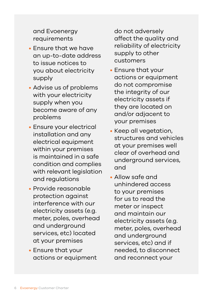and Evoenergy requirements

- Ensure that we have an up-to-date address to issue notices to you about electricity supply
- Advise us of problems with your electricity supply when you become aware of any problems
- Ensure your electrical installation and any electrical equipment within your premises is maintained in a safe condition and complies with relevant legislation and regulations
- Provide reasonable protection against interference with our electricity assets (e.g. meter, poles, overhead and underground services, etc) located at your premises
- Ensure that your actions or equipment

do not adversely affect the quality and reliability of electricity supply to other customers

- Ensure that your actions or equipment do not compromise the integrity of our electricity assets if they are located on and/or adjacent to your premises
- Keep all vegetation, structures and vehicles at your premises well clear of overhead and underground services, and
- Allow safe and unhindered access to your premises for us to read the meter or inspect and maintain our electricity assets (e.g. meter, poles, overhead and underground services, etc) and if needed, to disconnect and reconnect your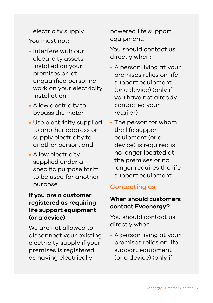electricity supply You must not:

- Interfere with our electricity assets installed on your premises or let unqualified personnel work on your electricity installation
- Allow electricity to bypass the meter
- Use electricity supplied to another address or supply electricity to another person, and
- Allow electricity supplied under a specific purpose tariff to be used for another purpose

#### **If you are a customer registered as requiring life support equipment (or a device)**

We are not allowed to disconnect your existing electricity supply if your premises is registered as having electrically

powered life support equipment.

You should contact us directly when:

- A person living at your premises relies on life support equipment (or a device) (only if you have not already contacted your retailer)
- The person for whom the life support equipment (or a device) is required is no longer located at the premises or no longer requires the life support equipment

## Contacting us

#### **When should customers contact Evoenergy?**

You should contact us directly when:

• A person living at your premises relies on life support equipment (or a device) (only if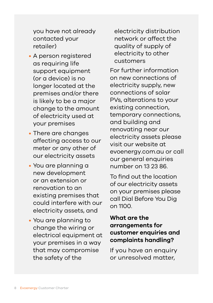you have not already contacted your retailer)

- A person registered as requiring life support equipment (or a device) is no longer located at the premises and/or there is likely to be a major change to the amount of electricity used at your premises
- There are changes affecting access to our meter or any other of our electricity assets
- You are planning a new development or an extension or renovation to an existing premises that could interfere with our electricity assets, and
- You are planning to change the wiring or electrical equipment at your premises in a way that may compromise the safety of the

electricity distribution network or affect the quality of supply of electricity to other customers

For further information on new connections of electricity supply, new connections of solar PVs, alterations to your existing connection, temporary connections, and building and renovating near our electricity assets please visit our website at e[voenergy.com.au](http://www.actewagl.com.au/electricity) or call our general enquiries number on 13 23 86.

To find out the location of our electricity assets on your premises please call Dial Before You Dig on 1100.

#### **What are the arrangements for customer enquiries and complaints handling?**

If you have an enquiry or unresolved matter,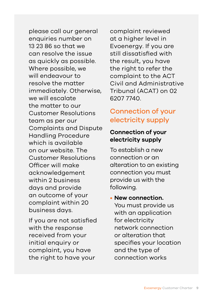please call our general enquiries number on 13 23 86 so that we can resolve the issue as quickly as possible. Where possible, we will endeavour to resolve the matter immediately. Otherwise, we will escalate the matter to our Customer Resolutions team as per our Complaints and Dispute Handling Procedure which is available on our website. The Customer Resolutions Officer will make acknowledgement within 2 business days and provide an outcome of your complaint within 20 business days.

If you are not satisfied with the response received from your initial enquiry or complaint, you have the right to have your

complaint reviewed at a higher level in Evoenergy. If you are still dissatisfied with the result, you have the right to refer the complaint to the ACT Civil and Administrative Tribunal (ACAT) on 02 6207 7740.

# Connection of your electricity supply

#### **Connection of your electricity supply**

To establish a new connection or an alteration to an existing connection you must provide us with the following.

• **New connection.**  You must provide us with an application for electricity network connection or alteration that specifies your location and the type of connection works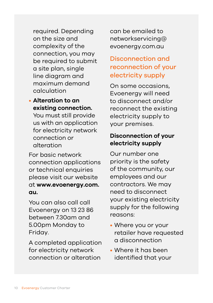required. Depending on the size and complexity of the connection, you may be required to submit a site plan, single line diagram and maximum demand calculation

#### • **Alteration to an existing connection.**

You must still provide us with an application for electricity network connection or alteration

For basic network connection applications or technical enquiries please visit our website at **www.evoenergy.com. au.** 

You can also call call Evoenergy on 13 23 86 between 7.30am and 5.00pm Monday to Friday.

A completed application for electricity network connection or alteration

can be emailed to networkservicing@ evoenergy.com.au

# Disconnection and reconnection of your electricity supply

On some occasions, Evoenergy will need to disconnect and/or reconnect the existing electricity supply to your premises.

#### **Disconnection of your electricity supply**

Our number one priority is the safety of the community, our employees and our contractors. We may need to disconnect your existing electricity supply for the following reasons:

- Where you or your retailer have requested a disconnection
- Where it has been identified that your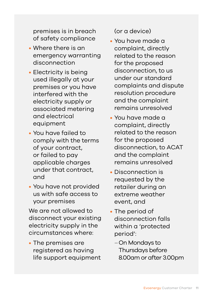premises is in breach of safety compliance

- Where there is an emergency warranting disconnection
- Electricity is being used illegally at your premises or you have interfered with the electricity supply or associated metering and electrical equipment
- You have failed to comply with the terms of your contract, or failed to pay applicable charges under that contract, and
- You have not provided us with safe access to your premises

We are not allowed to disconnect your existing electricity supply in the circumstances where:

• The premises are registered as having life support equipment (or a device)

- You have made a complaint, directly related to the reason for the proposed disconnection, to us under our standard complaints and dispute resolution procedure and the complaint remains unresolved
- You have made a complaint, directly related to the reason for the proposed disconnection, to ACAT and the complaint remains unresolved
- Disconnection is requested by the retailer during an extreme weather event, and
- The period of disconnection falls within a 'protected period':
	- –On Mondays to Thursdays before 8.00am or after 3.00pm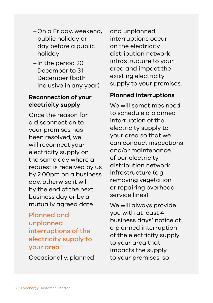- –On a Friday, weekend, public holiday or day before a public holiday
- –In the period 20 December to 31 December (both inclusive in any year)

#### **Reconnection of your electricity supply**

Once the reason for a disconnection to your premises has been resolved, we will reconnect your electricity supply on the same day where a request is received by us by 2.00pm on a business day, otherwise it will by the end of the next business day or by a mutually agreed date.

# Planned and unplanned interruptions of the electricity supply to your area

Occasionally, planned

and unplanned interruptions occur on the electricity distribution network infrastructure to your area and impact the existing electricity supply to your premises.

#### **Planned interruptions**

We will sometimes need to schedule a planned interruption of the electricity supply to your area so that we can conduct inspections and/or maintenance of our electricity distribution network infrastructure (e.g. removing vegetation or repairing overhead service lines).

We will always provide you with at least 4 business days' notice of a planned interruption of the electricity supply to your area that impacts the supply to your premises, so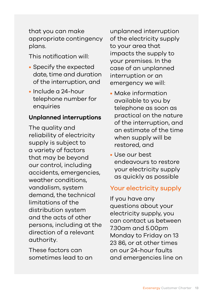that you can make appropriate contingency plans.

This notification will:

- Specify the expected date, time and duration of the interruption, and
- Include a 24-hour telephone number for enquiries

#### **Unplanned interruptions**

The quality and reliability of electricity supply is subject to a variety of factors that may be beyond our control, including accidents, emergencies, weather conditions, vandalism, system demand, the technical limitations of the distribution system and the acts of other persons, including at the direction of a relevant authority.

These factors can sometimes lead to an unplanned interruption of the electricity supply to your area that impacts the supply to your premises. In the case of an unplanned interruption or an emergency we will:

- Make information available to you by telephone as soon as practical on the nature of the interruption, and an estimate of the time when supply will be restored, and
- Use our best endeavours to restore your electricity supply as quickly as possible

#### Your electricity supply

If you have any questions about your electricity supply, you can contact us between 7.30am and 5.00pm Monday to Friday on 13 23 86, or at other times on our 24-hour faults and emergencies line on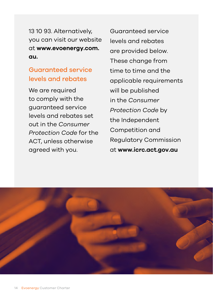13 10 93. Alternatively, you can visit our website at **www.evoenergy.com. au.**

# Guaranteed service levels and rebates

We are required to comply with the guaranteed service levels and rebates set out in the *Consumer Protection Code* for the ACT, unless otherwise agreed with you.

Guaranteed service levels and rebates are provided below. These change from time to time and the applicable requirements will be published in the *Consumer Protection Code* by the Independent Competition and Regulatory Commission at **www.icrc.act.gov.au**

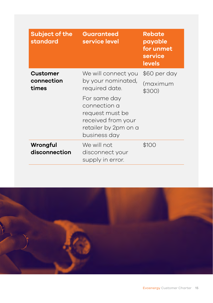| <b>Subject of the</b><br>standard | <b>Guaranteed</b><br>service level                                                                            | <b>Rebate</b><br>payable<br>for unmet<br>service<br><b>levels</b> |
|-----------------------------------|---------------------------------------------------------------------------------------------------------------|-------------------------------------------------------------------|
| Customer<br>connection<br>times   | We will connect you                                                                                           | \$60 per day                                                      |
|                                   | by your nominated,<br>required date.                                                                          | (maximum<br>\$300)                                                |
|                                   | For same day<br>connection a<br>request must be<br>received from your<br>retailer by 2pm on a<br>business day |                                                                   |
| Wrongful<br>disconnection         | We will not<br>disconnect your<br>supply in error.                                                            | \$100                                                             |

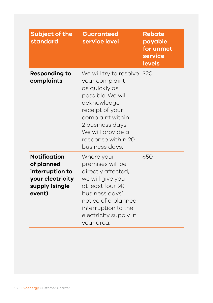| <b>Subject of the</b><br>standard                                                                    | <b>Guaranteed</b><br>service level                                                                                                                                                                                         | <b>Rebate</b><br>payable<br>for unmet<br>service<br><b>levels</b> |
|------------------------------------------------------------------------------------------------------|----------------------------------------------------------------------------------------------------------------------------------------------------------------------------------------------------------------------------|-------------------------------------------------------------------|
| <b>Responding to</b><br>complaints                                                                   | We will try to resolve \$20<br>your complaint<br>as quickly as<br>possible. We will<br>acknowledge<br>receipt of your<br>complaint within<br>2 business days.<br>We will provide a<br>response within 20<br>business days. |                                                                   |
| <b>Notification</b><br>of planned<br>interruption to<br>your electricity<br>supply (single<br>event) | Where your<br>premises will be<br>directly affected,<br>we will give you<br>at least four (4)<br>business days'<br>notice of a planned<br>interruption to the<br>electricity supply in<br>your area.                       | \$50                                                              |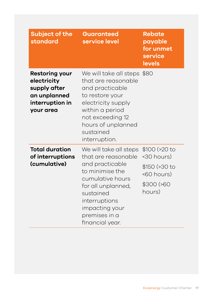| <b>Subject of the</b><br>standard                                                                    | <b>Guaranteed</b><br>service level                                                                                                                                                                                | <b>Rebate</b><br>payable<br>for unmet<br>service<br><b>levels</b>                     |
|------------------------------------------------------------------------------------------------------|-------------------------------------------------------------------------------------------------------------------------------------------------------------------------------------------------------------------|---------------------------------------------------------------------------------------|
| <b>Restoring your</b><br>electricity<br>supply after<br>an unplanned<br>interruption in<br>your area | We will take all steps \$80<br>that are reasonable<br>and practicable<br>to restore your<br>electricity supply<br>within a period<br>not exceeding 12<br>hours of unplanned<br>sustained<br>interruption.         |                                                                                       |
| <b>Total duration</b><br>of interruptions<br>(cumulative)                                            | We will take all steps<br>that are reasonable<br>and practicable<br>to minimise the<br>cumulative hours<br>for all unplanned,<br>sustained<br>interruptions<br>impacting your<br>premises in a<br>financial year. | \$100 (>20)<br><30 hours)<br>\$150 (>30 to<br>$60 hours)$<br>$$300$ ( $$60$<br>hours) |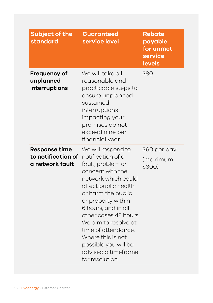| <b>Subject of the</b><br>standard                             | <b>Guaranteed</b><br>service level                                                                                                                                                                                                                                                                                                                                | <b>Rebate</b><br>payable<br>for unmet<br>service<br>levels |
|---------------------------------------------------------------|-------------------------------------------------------------------------------------------------------------------------------------------------------------------------------------------------------------------------------------------------------------------------------------------------------------------------------------------------------------------|------------------------------------------------------------|
| Frequency of<br>unplanned<br>interruptions                    | We will take all<br>reasonable and<br>practicable steps to<br>ensure unplanned<br>sustained<br>interruptions<br>impacting your<br>premises do not<br>exceed nine per<br>financial year.                                                                                                                                                                           | \$80                                                       |
| <b>Response time</b><br>to notification of<br>a network fault | We will respond to<br>notification of a<br>fault, problem or<br>concern with the<br>network which could<br>affect public health<br>or harm the public<br>or property within<br>6 hours, and in all<br>other cases 48 hours.<br>We aim to resolve at<br>time of attendance.<br>Where this is not<br>possible you will be<br>advised a timeframe<br>for resolution. | \$60 per day<br>(maximum<br>\$300)                         |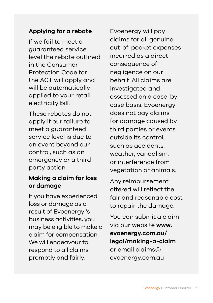#### **Applying for a rebate**

If we fail to meet a guaranteed service level the rebate outlined in the Consumer Protection Code for the ACT will apply and will be automatically applied to your retail electricity bill.

These rebates do not apply if our failure to meet a guaranteed service level is due to an event beyond our control, such as an emergency or a third party action.

#### **Making a claim for loss or damage**

If you have experienced loss or damage as a result of Evoenergy 's business activities, you may be eligible to make a claim for compensation. We will endeavour to respond to all claims promptly and fairly.

Evoenergy will pay claims for all genuine out-of-pocket expenses incurred as a direct consequence of negligence on our behalf. All claims are investigated and assessed on a case-bycase basis. Evoenergy does not pay claims for damage caused by third parties or events outside its control, such as accidents, weather, vandalism, or interference from vegetation or animals.

Any reimbursement offered will reflect the fair and reasonable cost to repair the damage.

You can submit a claim via our website **www. evoenergy.com.au/ legal/making-a-claim** or email claims@ evoenergy.com.au